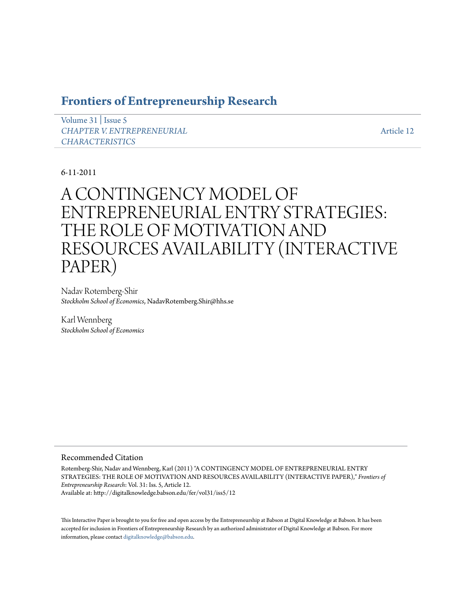# **[Frontiers of Entrepreneurship Research](http://digitalknowledge.babson.edu/fer)**

[Volume 31](http://digitalknowledge.babson.edu/fer/vol31) | [Issue 5](http://digitalknowledge.babson.edu/fer/vol31/iss5) *[CHAPTER V. ENTREPRENEURIAL](http://digitalknowledge.babson.edu/fer/vol31/iss5) [CHARACTERISTICS](http://digitalknowledge.babson.edu/fer/vol31/iss5)*

[Article 12](http://digitalknowledge.babson.edu/fer/vol31/iss5/12)

## 6-11-2011

# A CONTINGENCY MODEL OF ENTREPRENEURIAL ENTRY STRATEGIES: THE ROLE OF MOTIVATION AND RESOURCES AVAILABILITY (INTERACTIVE PAPER)

Nadav Rotemberg-Shir *Stockholm School of Economics*, NadavRotemberg.Shir@hhs.se

Karl Wennberg *Stockholm School of Economics*

#### Recommended Citation

Rotemberg-Shir, Nadav and Wennberg, Karl (2011) "A CONTINGENCY MODEL OF ENTREPRENEURIAL ENTRY STRATEGIES: THE ROLE OF MOTIVATION AND RESOURCES AVAILABILITY (INTERACTIVE PAPER)," *Frontiers of Entrepreneurship Research*: Vol. 31: Iss. 5, Article 12. Available at: http://digitalknowledge.babson.edu/fer/vol31/iss5/12

This Interactive Paper is brought to you for free and open access by the Entrepreneurship at Babson at Digital Knowledge at Babson. It has been accepted for inclusion in Frontiers of Entrepreneurship Research by an authorized administrator of Digital Knowledge at Babson. For more information, please contact [digitalknowledge@babson.edu.](mailto:digitalknowledge@babson.edu)